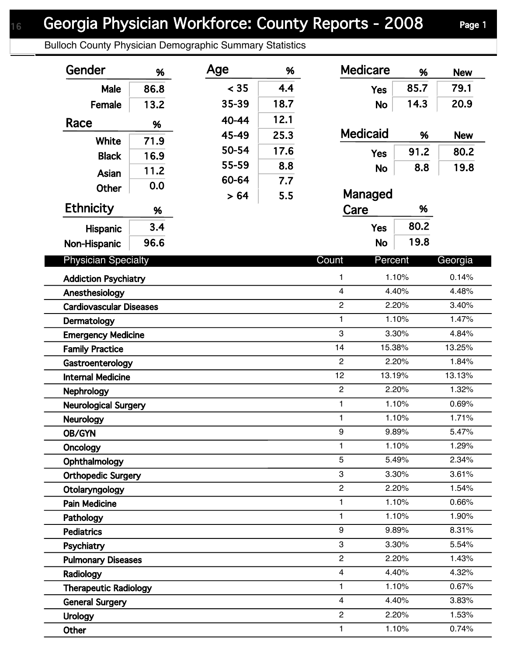Bulloch County Physician Demographic Summary Statistics

| Gender                         | %    | Age   | %                | <b>Medicare</b>         | %                  | <b>New</b>     |
|--------------------------------|------|-------|------------------|-------------------------|--------------------|----------------|
| Male                           | 86.8 | < 35  | 4.4              | <b>Yes</b>              | 85.7               | 79.1           |
| Female                         | 13.2 | 35-39 | 18.7             | <b>No</b>               | 14.3               | 20.9           |
|                                |      | 40-44 | 12.1             |                         |                    |                |
| Race                           | %    | 45-49 | 25.3             | <b>Medicaid</b>         | %                  | <b>New</b>     |
| <b>White</b>                   | 71.9 | 50-54 | 17.6             |                         | 91.2               | 80.2           |
| <b>Black</b>                   | 16.9 | 55-59 | 8.8              | <b>Yes</b>              |                    |                |
| Asian                          | 11.2 | 60-64 |                  | <b>No</b>               | 8.8                | 19.8           |
| <b>Other</b>                   | 0.0  |       | 7.7              |                         |                    |                |
| <b>Ethnicity</b>               |      | > 64  | 5.5              | Managed                 |                    |                |
|                                | %    |       |                  | Care                    | %                  |                |
| Hispanic                       | 3.4  |       |                  | <b>Yes</b>              | 80.2               |                |
| Non-Hispanic                   | 96.6 |       |                  | <b>No</b>               | 19.8               |                |
| <b>Physician Specialty</b>     |      |       |                  | Count                   | Percent<br>Georgia |                |
| <b>Addiction Psychiatry</b>    |      |       | 1                | 1.10%                   | 0.14%              |                |
| Anesthesiology                 |      |       | $\overline{4}$   | 4.40%                   |                    |                |
| <b>Cardiovascular Diseases</b> |      |       | $\overline{c}$   | 2.20%                   | 3.40%              |                |
| Dermatology                    |      |       | $\mathbf{1}$     | 1.10%                   | 1.47%              |                |
| <b>Emergency Medicine</b>      |      |       |                  | 3                       | 3.30%              | 4.84%          |
| <b>Family Practice</b>         |      |       |                  | 14                      | 15.38%             | 13.25%         |
| Gastroenterology               |      |       |                  | $\overline{2}$          | 2.20%              | 1.84%          |
| <b>Internal Medicine</b>       |      |       |                  | 12                      | 13.19%             | 13.13%         |
| <b>Nephrology</b>              |      |       |                  | $\overline{2}$          | 2.20%              |                |
| <b>Neurological Surgery</b>    |      |       | $\mathbf{1}$     | 1.10%                   | 0.69%              |                |
| <b>Neurology</b>               |      |       | 1                | 1.10%                   | 1.71%              |                |
| <b>OB/GYN</b>                  |      |       | $\boldsymbol{9}$ | 9.89%                   | 5.47%              |                |
| Oncology                       |      |       |                  | 1                       | 1.10%              |                |
| Ophthalmology                  |      |       | $\overline{5}$   | 5.49%                   |                    |                |
| <b>Orthopedic Surgery</b>      |      |       | 3                | 3.30%                   |                    |                |
| Otolaryngology                 |      |       | $\overline{c}$   | 2.20%                   |                    |                |
| <b>Pain Medicine</b>           |      |       |                  | 1                       | 1.10%              | 0.66%<br>1.90% |
| Pathology                      |      |       |                  | 1                       | 1.10%              |                |
| <b>Pediatrics</b>              |      |       |                  | 9                       | 9.89%              | 8.31%          |
| Psychiatry                     |      |       |                  | 3                       | 3.30%              | 5.54%          |
| <b>Pulmonary Diseases</b>      |      |       |                  | $\overline{c}$          | 2.20%              | 1.43%          |
| Radiology                      |      |       |                  | $\overline{4}$          | 4.40%              | 4.32%          |
| <b>Therapeutic Radiology</b>   |      |       |                  | 1                       | 1.10%              | 0.67%          |
| <b>General Surgery</b>         |      |       |                  | $\overline{\mathbf{4}}$ | 4.40%              | 3.83%          |
| <b>Urology</b>                 |      |       |                  | $\overline{c}$          | 2.20%              | 1.53%          |
| Other                          |      |       |                  | $\mathbf{1}$            | 1.10%              | 0.74%          |